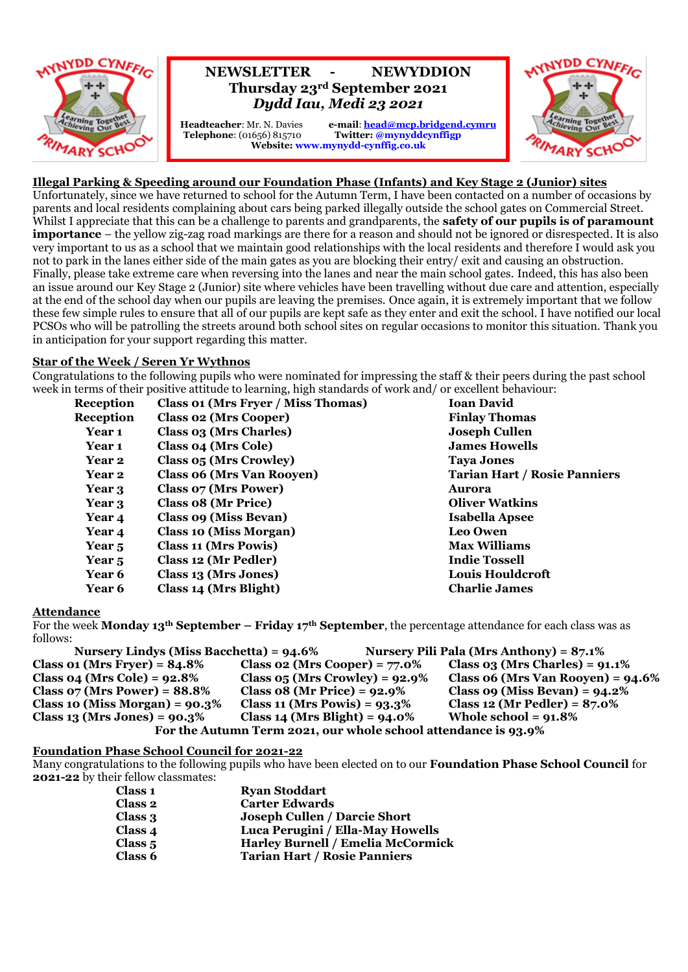

# **NEWSLETTER - NEWYDDION Thursday 23rd September 2021** *Dydd Iau, Medi 23 2021*

 **Telephone**: (01656) 815710 **Twitter: @mynyddcynffigp**

**Headteacher**: Mr. N. Davies **e-mail**: **[head@mcp.bridgend.cymru](mailto:head@mcp.bridgend.cymru) Website: www.mynydd-cynffig.co.uk**



# **Illegal Parking & Speeding around our Foundation Phase (Infants) and Key Stage 2 (Junior) sites**

Unfortunately, since we have returned to school for the Autumn Term, I have been contacted on a number of occasions by parents and local residents complaining about cars being parked illegally outside the school gates on Commercial Street. Whilst I appreciate that this can be a challenge to parents and grandparents, the **safety of our pupils is of paramount importance** – the yellow zig-zag road markings are there for a reason and should not be ignored or disrespected. It is also very important to us as a school that we maintain good relationships with the local residents and therefore I would ask you not to park in the lanes either side of the main gates as you are blocking their entry/ exit and causing an obstruction. Finally, please take extreme care when reversing into the lanes and near the main school gates. Indeed, this has also been an issue around our Key Stage 2 (Junior) site where vehicles have been travelling without due care and attention, especially at the end of the school day when our pupils are leaving the premises. Once again, it is extremely important that we follow these few simple rules to ensure that all of our pupils are kept safe as they enter and exit the school. I have notified our local PCSOs who will be patrolling the streets around both school sites on regular occasions to monitor this situation. Thank you in anticipation for your support regarding this matter.

## **Star of the Week / Seren Yr Wythnos**

Congratulations to the following pupils who were nominated for impressing the staff & their peers during the past school week in terms of their positive attitude to learning, high standards of work and/ or excellent behaviour:

| Reception         | <b>Class 01 (Mrs Fryer / Miss Thomas)</b> | <b>Ioan David</b>                   |
|-------------------|-------------------------------------------|-------------------------------------|
| Reception         | <b>Class 02 (Mrs Cooper)</b>              | <b>Finlay Thomas</b>                |
| Year 1            | Class 03 (Mrs Charles)                    | <b>Joseph Cullen</b>                |
| Year 1            | <b>Class 04 (Mrs Cole)</b>                | <b>James Howells</b>                |
| Year 2            | Class 05 (Mrs Crowley)                    | <b>Taya Jones</b>                   |
| Year 2            | <b>Class 06 (Mrs Van Rooyen)</b>          | <b>Tarian Hart / Rosie Panniers</b> |
| Year 3            | <b>Class 07 (Mrs Power)</b>               | Aurora                              |
| Year 3            | Class 08 (Mr Price)                       | <b>Oliver Watkins</b>               |
| Year 4            | <b>Class 09 (Miss Bevan)</b>              | <b>Isabella Apsee</b>               |
| Year 4            | <b>Class 10 (Miss Morgan)</b>             | <b>Leo Owen</b>                     |
| Year <sub>5</sub> | <b>Class 11 (Mrs Powis)</b>               | <b>Max Williams</b>                 |
| Year <sub>5</sub> | Class 12 (Mr Pedler)                      | <b>Indie Tossell</b>                |
| <b>Year 6</b>     | Class 13 (Mrs Jones)                      | <b>Louis Houldcroft</b>             |
| <b>Year 6</b>     | Class 14 (Mrs Blight)                     | <b>Charlie James</b>                |

#### **Attendance**

For the week **Monday 13th September – Friday 17th September**, the percentage attendance for each class was as follows:

| Nursery Lindys (Miss Bacchetta) = $94.6\%$                     |                                     | Nursery Pili Pala (Mrs Anthony) = $87.1\%$ |  |  |
|----------------------------------------------------------------|-------------------------------------|--------------------------------------------|--|--|
| Class 01 (Mrs Fryer) = $84.8\%$                                | Class 02 (Mrs Cooper) = $77.0\%$    | Class $03$ (Mrs Charles) = $91.1\%$        |  |  |
| Class 04 (Mrs Cole) = $92.8\%$                                 | Class $05$ (Mrs Crowley) = $92.9\%$ | Class $06$ (Mrs Van Rooyen) = $94.6\%$     |  |  |
| Class $07$ (Mrs Power) = $88.8\%$                              | Class $08$ (Mr Price) = $92.9\%$    | Class $09$ (Miss Bevan) = $94.2\%$         |  |  |
| Class 10 (Miss Morgan) = $90.3\%$                              | Class 11 (Mrs Powis) = $93.3\%$     | Class 12 (Mr Pedler) = $87.0\%$            |  |  |
| Class 13 (Mrs Jones) = $90.3\%$                                | Class 14 (Mrs Blight) = $94.0\%$    | Whole school = $91.8\%$                    |  |  |
| For the Autumn Term 2021, our whole school attendance is 93.9% |                                     |                                            |  |  |

## **Foundation Phase School Council for 2021-22**

Many congratulations to the following pupils who have been elected on to our **Foundation Phase School Council** for **2021-22** by their fellow classmates:

| <b>Class 1</b> | <b>Ryan Stoddart</b>                     |
|----------------|------------------------------------------|
| Class 2        | <b>Carter Edwards</b>                    |
| Class 3        | <b>Joseph Cullen / Darcie Short</b>      |
| Class 4        | Luca Perugini / Ella-May Howells         |
| Class $5$      | <b>Harley Burnell / Emelia McCormick</b> |
| Class 6        | <b>Tarian Hart / Rosie Panniers</b>      |